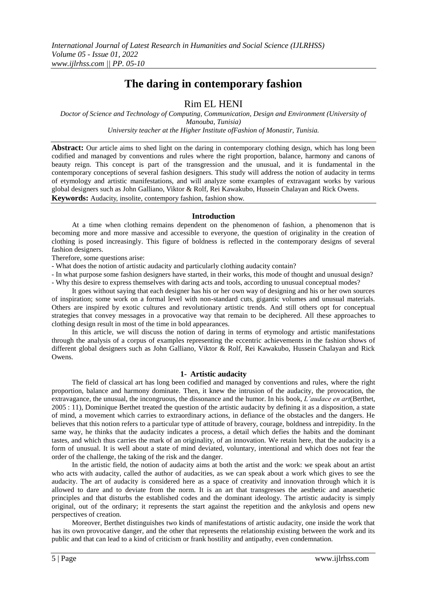# **The daring in contemporary fashion**

# Rim EL HENI

*Doctor of Science and Technology of Computing, Communication, Design and Environment (University of Manouba, Tunisia) University teacher at the Higher Institute ofFashion of Monastir, Tunisia.*

**Abstract:** Our article aims to shed light on the daring in contemporary clothing design, which has long been codified and managed by conventions and rules where the right proportion, balance, harmony and canons of beauty reign. This concept is part of the transgression and the unusual, and it is fundamental in the contemporary conceptions of several fashion designers. This study will address the notion of audacity in terms of etymology and artistic manifestations, and will analyze some examples of extravagant works by various global designers such as John Galliano, Viktor & Rolf, Rei Kawakubo, Hussein Chalayan and Rick Owens. **Keywords:** Audacity, insolite, contempory fashion, fashion show.

#### **Introduction**

At a time when clothing remains dependent on the phenomenon of fashion, a phenomenon that is becoming more and more massive and accessible to everyone, the question of originality in the creation of clothing is posed increasingly. This figure of boldness is reflected in the contemporary designs of several fashion designers.

Therefore, some questions arise:

- What does the notion of artistic audacity and particularly clothing audacity contain?
- In what purpose some fashion designers have started, in their works, this mode of thought and unusual design? - Why this desire to express themselves with daring acts and tools, according to unusual conceptual modes?
- It goes without saying that each designer has his or her own way of designing and his or her own sources of inspiration; some work on a formal level with non-standard cuts, gigantic volumes and unusual materials. Others are inspired by exotic cultures and revolutionary artistic trends. And still others opt for conceptual strategies that convey messages in a provocative way that remain to be deciphered. All these approaches to clothing design result in most of the time in bold appearances.

In this article, we will discuss the notion of daring in terms of etymology and artistic manifestations through the analysis of a corpus of examples representing the eccentric achievements in the fashion shows of different global designers such as John Galliano, Viktor & Rolf, Rei Kawakubo, Hussein Chalayan and Rick Owens.

#### **1- Artistic audacity**

The field of classical art has long been codified and managed by conventions and rules, where the right proportion, balance and harmony dominate. Then, it knew the intrusion of the audacity, the provocation, the extravagance, the unusual, the incongruous, the dissonance and the humor. In his book, *L'audace en art*(Berthet, 2005 : 11), Dominique Berthet treated the question of the artistic audacity by defining it as a disposition, a state of mind, a movement which carries to extraordinary actions, in defiance of the obstacles and the dangers. He believes that this notion refers to a particular type of attitude of bravery, courage, boldness and intrepidity. In the same way, he thinks that the audacity indicates a process, a detail which defies the habits and the dominant tastes, and which thus carries the mark of an originality, of an innovation. We retain here, that the audacity is a form of unusual. It is well about a state of mind deviated, voluntary, intentional and which does not fear the order of the challenge, the taking of the risk and the danger.

In the artistic field, the notion of audacity aims at both the artist and the work: we speak about an artist who acts with audacity, called the author of audacities, as we can speak about a work which gives to see the audacity. The art of audacity is considered here as a space of creativity and innovation through which it is allowed to dare and to deviate from the norm. It is an art that transgresses the aesthetic and anaesthetic principles and that disturbs the established codes and the dominant ideology. The artistic audacity is simply original, out of the ordinary; it represents the start against the repetition and the ankylosis and opens new perspectives of creation.

Moreover, Berthet distinguishes two kinds of manifestations of artistic audacity, one inside the work that has its own provocative danger, and the other that represents the relationship existing between the work and its public and that can lead to a kind of criticism or frank hostility and antipathy, even condemnation.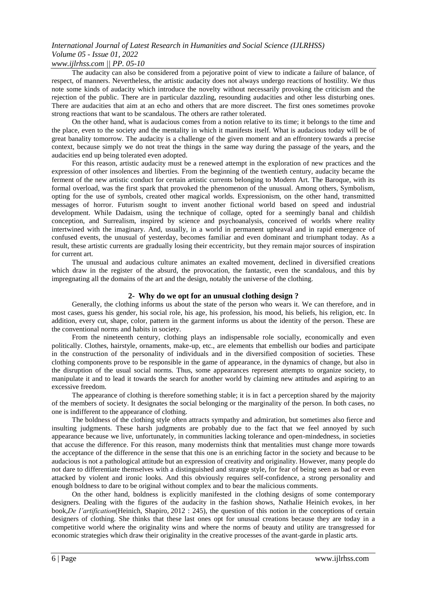### *www.ijlrhss.com || PP. 05-10*

The audacity can also be considered from a pejorative point of view to indicate a failure of balance, of respect, of manners. Nevertheless, the artistic audacity does not always undergo reactions of hostility. We thus note some kinds of audacity which introduce the novelty without necessarily provoking the criticism and the rejection of the public. There are in particular dazzling, resounding audacities and other less disturbing ones. There are audacities that aim at an echo and others that are more discreet. The first ones sometimes provoke strong reactions that want to be scandalous. The others are rather tolerated.

On the other hand, what is audacious comes from a notion relative to its time; it belongs to the time and the place, even to the society and the mentality in which it manifests itself. What is audacious today will be of great banality tomorrow. The audacity is a challenge of the given moment and an effrontery towards a precise context, because simply we do not treat the things in the same way during the passage of the years, and the audacities end up being tolerated even adopted.

For this reason, artistic audacity must be a renewed attempt in the exploration of new practices and the expression of other insolences and liberties. From the beginning of the twentieth century, audacity became the ferment of the new artistic conduct for certain artistic currents belonging to Modern Art. The Baroque, with its formal overload, was the first spark that provoked the phenomenon of the unusual. Among others, Symbolism, opting for the use of symbols, created other magical worlds. Expressionism, on the other hand, transmitted messages of horror. Futurism sought to invent another fictional world based on speed and industrial development. While Dadaism, using the technique of collage, opted for a seemingly banal and childish conception, and Surrealism, inspired by science and psychoanalysis, conceived of worlds where reality intertwined with the imaginary. And, usually, in a world in permanent upheaval and in rapid emergence of confused events, the unusual of yesterday, becomes familiar and even dominant and triumphant today. As a result, these artistic currents are gradually losing their eccentricity, but they remain major sources of inspiration for current art.

The unusual and audacious culture animates an exalted movement, declined in diversified creations which draw in the register of the absurd, the provocation, the fantastic, even the scandalous, and this by impregnating all the domains of the art and the design, notably the universe of the clothing.

#### **2- Why do we opt for an unusual clothing design ?**

Generally, the clothing informs us about the state of the person who wears it. We can therefore, and in most cases, guess his gender, his social role, his age, his profession, his mood, his beliefs, his religion, etc. In addition, every cut, shape, color, pattern in the garment informs us about the identity of the person. These are the conventional norms and habits in society.

From the nineteenth century, clothing plays an indispensable role socially, economically and even politically. Clothes, hairstyle, ornaments, make-up, etc., are elements that embellish our bodies and participate in the construction of the personality of individuals and in the diversified composition of societies. These clothing components prove to be responsible in the game of appearance, in the dynamics of change, but also in the disruption of the usual social norms. Thus, some appearances represent attempts to organize society, to manipulate it and to lead it towards the search for another world by claiming new attitudes and aspiring to an excessive freedom.

The appearance of clothing is therefore something stable; it is in fact a perception shared by the majority of the members of society. It designates the social belonging or the marginality of the person. In both cases, no one is indifferent to the appearance of clothing.

The boldness of the clothing style often attracts sympathy and admiration, but sometimes also fierce and insulting judgments. These harsh judgments are probably due to the fact that we feel annoyed by such appearance because we live, unfortunately, in communities lacking tolerance and open-mindedness, in societies that accuse the difference. For this reason, many modernists think that mentalities must change more towards the acceptance of the difference in the sense that this one is an enriching factor in the society and because to be audacious is not a pathological attitude but an expression of creativity and originality. However, many people do not dare to differentiate themselves with a distinguished and strange style, for fear of being seen as bad or even attacked by violent and ironic looks. And this obviously requires self-confidence, a strong personality and enough boldness to dare to be original without complex and to bear the malicious comments.

On the other hand, boldness is explicitly manifested in the clothing designs of some contemporary designers. Dealing with the figures of the audacity in the fashion shows, Nathalie Heinich evokes, in her book,*De l'artification*(Heinich, Shapiro, 2012 : 245), the question of this notion in the conceptions of certain designers of clothing. She thinks that these last ones opt for unusual creations because they are today in a competitive world where the originality wins and where the norms of beauty and utility are transgressed for economic strategies which draw their originality in the creative processes of the avant-garde in plastic arts.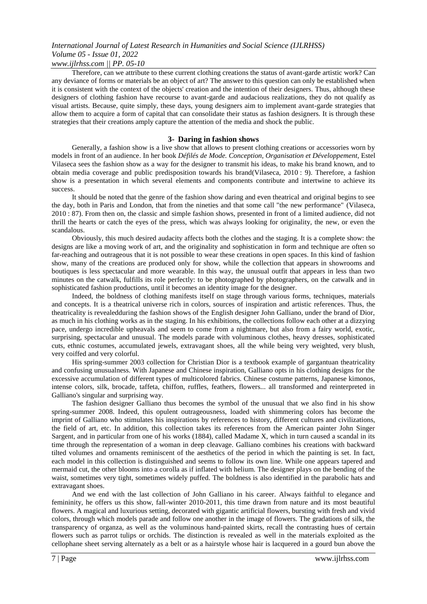### *www.ijlrhss.com || PP. 05-10*

Therefore, can we attribute to these current clothing creations the status of avant-garde artistic work? Can any deviance of forms or materials be an object of art? The answer to this question can only be established when it is consistent with the context of the objects' creation and the intention of their designers. Thus, although these designers of clothing fashion have recourse to avant-garde and audacious realizations, they do not qualify as visual artists. Because, quite simply, these days, young designers aim to implement avant-garde strategies that allow them to acquire a form of capital that can consolidate their status as fashion designers. It is through these strategies that their creations amply capture the attention of the media and shock the public.

#### **3- Daring in fashion shows**

Generally, a fashion show is a live show that allows to present clothing creations or accessories worn by models in front of an audience. In her book *Défilés de Mode. Conception, Organisation et Développement*, Estel Vilaseca sees the fashion show as a way for the designer to transmit his ideas, to make his brand known, and to obtain media coverage and public predisposition towards his brand(Vilaseca, 2010 : 9). Therefore, a fashion show is a presentation in which several elements and components contribute and intertwine to achieve its success.

It should be noted that the genre of the fashion show daring and even theatrical and original begins to see the day, both in Paris and London, that from the nineties and that some call "the new performance" (Vilaseca, 2010 : 87). From then on, the classic and simple fashion shows, presented in front of a limited audience, did not thrill the hearts or catch the eyes of the press, which was always looking for originality, the new, or even the scandalous.

Obviously, this much desired audacity affects both the clothes and the staging. It is a complete show: the designs are like a moving work of art, and the originality and sophistication in form and technique are often so far-reaching and outrageous that it is not possible to wear these creations in open spaces. In this kind of fashion show, many of the creations are produced only for show, while the collection that appears in showrooms and boutiques is less spectacular and more wearable. In this way, the unusual outfit that appears in less than two minutes on the catwalk, fulfills its role perfectly: to be photographed by photographers, on the catwalk and in sophisticated fashion productions, until it becomes an identity image for the designer.

Indeed, the boldness of clothing manifests itself on stage through various forms, techniques, materials and concepts. It is a theatrical universe rich in colors, sources of inspiration and artistic references. Thus, the theatricality is revealedduring the fashion shows of the English designer John Galliano, under the brand of Dior, as much in his clothing works as in the staging. In his exhibitions, the collections follow each other at a dizzying pace, undergo incredible upheavals and seem to come from a nightmare, but also from a fairy world, exotic, surprising, spectacular and unusual. The models parade with voluminous clothes, heavy dresses, sophisticated cuts, ethnic costumes, accumulated jewels, extravagant shoes, all the while being very weighted, very blush, very coiffed and very colorful.

His spring-summer 2003 collection for Christian Dior is a textbook example of gargantuan theatricality and confusing unusualness. With Japanese and Chinese inspiration, Galliano opts in his clothing designs for the excessive accumulation of different types of multicolored fabrics. Chinese costume patterns, Japanese kimonos, intense colors, silk, brocade, taffeta, chiffon, ruffles, feathers, flowers... all transformed and reinterpreted in Galliano's singular and surprising way.

The fashion designer Galliano thus becomes the symbol of the unusual that we also find in his show spring-summer 2008. Indeed, this opulent outrageousness, loaded with shimmering colors has become the imprint of Galliano who stimulates his inspirations by references to history, different cultures and civilizations, the field of art, etc. In addition, this collection takes its references from the American painter John Singer Sargent, and in particular from one of his works (1884), called Madame X, which in turn caused a scandal in its time through the representation of a woman in deep cleavage. Galliano combines his creations with backward tilted volumes and ornaments reminiscent of the aesthetics of the period in which the painting is set. In fact, each model in this collection is distinguished and seems to follow its own line. While one appears tapered and mermaid cut, the other blooms into a corolla as if inflated with helium. The designer plays on the bending of the waist, sometimes very tight, sometimes widely puffed. The boldness is also identified in the parabolic hats and extravagant shoes.

And we end with the last collection of John Galliano in his career. Always faithful to elegance and femininity, he offers us this show, fall-winter 2010-2011, this time drawn from nature and its most beautiful flowers. A magical and luxurious setting, decorated with gigantic artificial flowers, bursting with fresh and vivid colors, through which models parade and follow one another in the image of flowers. The gradations of silk, the transparency of organza, as well as the voluminous hand-painted skirts, recall the contrasting hues of certain flowers such as parrot tulips or orchids. The distinction is revealed as well in the materials exploited as the cellophane sheet serving alternately as a belt or as a hairstyle whose hair is lacquered in a gourd bun above the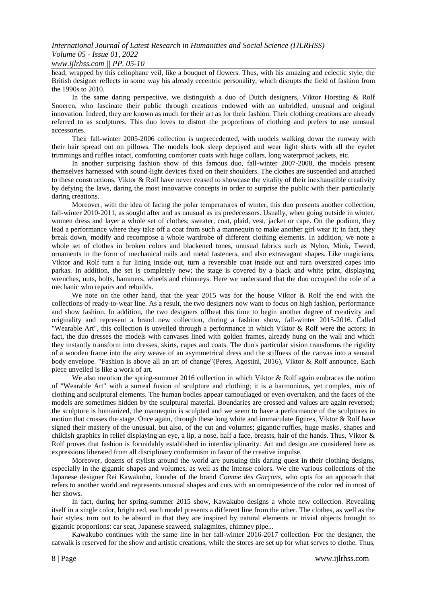#### *International Journal of Latest Research in Humanities and Social Science (IJLRHSS) Volume 05 - Issue 01, 2022 www.ijlrhss.com || PP. 05-10*

head, wrapped by this cellophane veil, like a bouquet of flowers. Thus, with his amazing and eclectic style, the British designer reflects in some way his already eccentric personality, which disrupts the field of fashion from the 1990s to 2010.

In the same daring perspective, we distinguish a duo of Dutch designers, Viktor Horsting & Rolf Snoeren, who fascinate their public through creations endowed with an unbridled, unusual and original innovation. Indeed, they are known as much for their art as for their fashion. Their clothing creations are already referred to as sculptures. This duo loves to distort the proportions of clothing and prefers to use unusual accessories.

Their fall-winter 2005-2006 collection is unprecedented, with models walking down the runway with their hair spread out on pillows. The models look sleep deprived and wear light shirts with all the eyelet trimmings and ruffles intact, comforting comforter coats with huge collars, long waterproof jackets, etc.

In another surprising fashion show of this famous duo, fall-winter 2007-2008, the models present themselves harnessed with sound-light devices fixed on their shoulders. The clothes are suspended and attached to these constructions. Viktor & Rolf have never ceased to showcase the vitality of their inexhaustible creativity by defying the laws, daring the most innovative concepts in order to surprise the public with their particularly daring creations.

Moreover, with the idea of facing the polar temperatures of winter, this duo presents another collection, fall-winter 2010-2011, as sought after and as unusual as its predecessors. Usually, when going outside in winter, women dress and layer a whole set of clothes; sweater, coat, plaid, vest, jacket or cape. On the podium, they lead a performance where they take off a coat from such a mannequin to make another girl wear it; in fact, they break down, modify and recompose a whole wardrobe of different clothing elements. In addition, we note a whole set of clothes in broken colors and blackened tones, unusual fabrics such as Nylon, Mink, Tweed, ornaments in the form of mechanical nails and metal fasteners, and also extravagant shapes. Like magicians, Viktor and Rolf turn a fur lining inside out, turn a reversible coat inside out and turn oversized capes into parkas. In addition, the set is completely new; the stage is covered by a black and white print, displaying wrenches, nuts, bolts, hammers, wheels and chimneys. Here we understand that the duo occupied the role of a mechanic who repairs and rebuilds.

We note on the other hand, that the year 2015 was for the house Viktor & Rolf the end with the collections of ready-to-wear line. As a result, the two designers now want to focus on high fashion, performance and show fashion. In addition, the two designers offbeat this time to begin another degree of creativity and originality and represent a brand new collection, during a fashion show, fall-winter 2015-2016. Called "Wearable Art", this collection is unveiled through a performance in which Viktor & Rolf were the actors; in fact, the duo dresses the models with canvases lined with golden frames, already hung on the wall and which they instantly transform into dresses, skirts, capes and coats. The duo's particular vision transforms the rigidity of a wooden frame into the airy weave of an asymmetrical dress and the stiffness of the canvas into a sensual body envelope. "Fashion is above all an art of change"(Peres, Agostini, 2016), Viktor & Rolf announce. Each piece unveiled is like a work of art.

We also mention the spring-summer 2016 collection in which Viktor & Rolf again embraces the notion of "Wearable Art" with a surreal fusion of sculpture and clothing; it is a harmonious, yet complex, mix of clothing and sculptural elements. The human bodies appear camouflaged or even overtaken, and the faces of the models are sometimes hidden by the sculptural material. Boundaries are crossed and values are again reversed; the sculpture is humanized, the mannequin is sculpted and we seem to have a performance of the sculptures in motion that crosses the stage. Once again, through these long white and immaculate figures, Viktor & Rolf have signed their mastery of the unusual, but also, of the cut and volumes; gigantic ruffles, huge masks, shapes and childish graphics in relief displaying an eye, a lip, a nose, half a face, breasts, hair of the hands. Thus, Viktor & Rolf proves that fashion is formidably established in interdisciplinarity. Art and design are considered here as expressions liberated from all disciplinary conformism in favor of the creative impulse.

Moreover, dozens of stylists around the world are pursuing this daring quest in their clothing designs, especially in the gigantic shapes and volumes, as well as the intense colors. We cite various collections of the Japanese designer Rei Kawakubo, founder of the brand *Comme des Garçons*, who opts for an approach that refers to another world and represents unusual shapes and cuts with an omnipresence of the color red in most of her shows.

In fact, during her spring-summer 2015 show, Kawakubo designs a whole new collection. Revealing itself in a single color, bright red, each model presents a different line from the other. The clothes, as well as the hair styles, turn out to be absurd in that they are inspired by natural elements or trivial objects brought to gigantic proportions: car seat, Japanese seaweed, stalagmites, chimney pipe...

Kawakubo continues with the same line in her fall-winter 2016-2017 collection. For the designer, the catwalk is reserved for the show and artistic creations, while the stores are set up for what serves to clothe. Thus,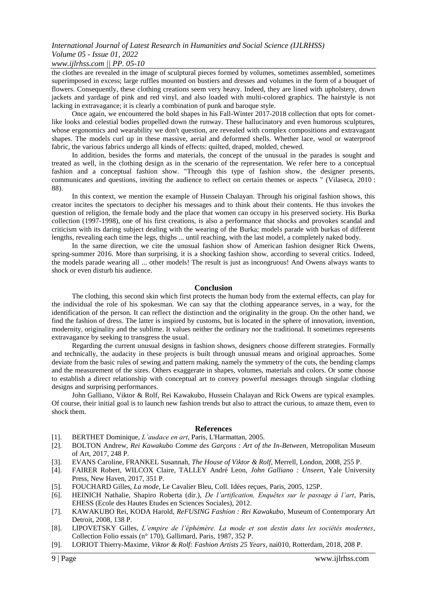### *www.ijlrhss.com || PP. 05-10*

the clothes are revealed in the image of sculptural pieces formed by volumes, sometimes assembled, sometimes superimposed in excess; large ruffles mounted on bustiers and dresses and volumes in the form of a bouquet of flowers. Consequently, these clothing creations seem very heavy. Indeed, they are lined with upholstery, down jackets and yardage of pink and red vinyl, and also loaded with multi-colored graphics. The hairstyle is not lacking in extravagance; it is clearly a combination of punk and baroque style.

Once again, we encountered the bold shapes in his Fall-Winter 2017-2018 collection that opts for cometlike looks and celestial bodies propelled down the runway. These hallucinatory and even humorous sculptures, whose ergonomics and wearability we don't question, are revealed with complex compositions and extravagant shapes. The models curl up in these massive, aerial and deformed shells. Whether lace, wool or waterproof fabric, the various fabrics undergo all kinds of effects: quilted, draped, molded, chewed.

In addition, besides the forms and materials, the concept of the unusual in the parades is sought and treated as well, in the clothing design as in the scenario of the representation. We refer here to a conceptual fashion and a conceptual fashion show. "Through this type of fashion show, the designer presents, communicates and questions, inviting the audience to reflect on certain themes or aspects " (Vilaseca, 2010 : 88).

In this context, we mention the example of Hussein Chalayan. Through his original fashion shows, this creator incites the spectators to decipher his messages and to think about their contents. He thus invokes the question of religion, the female body and the place that women can occupy in his preserved society. His Burka collection (1997-1998), one of his first creations, is also a performance that shocks and provokes scandal and criticism with its daring subject dealing with the wearing of the Burka; models parade with burkas of different lengths, revealing each time the legs, thighs ... until reaching, with the last model, a completely naked body.

In the same direction, we cite the unusual fashion show of American fashion designer Rick Owens, spring-summer 2016. More than surprising, it is a shocking fashion show, according to several critics. Indeed, the models parade wearing all ... other models! The result is just as incongruous! And Owens always wants to shock or even disturb his audience.

#### **Conclusion**

The clothing, this second skin which first protects the human body from the external effects, can play for the individual the role of his spokesman. We can say that the clothing appearance serves, in a way, for the identification of the person. It can reflect the distinction and the originality in the group. On the other hand, we find the fashion of dress. The latter is inspired by customs, but is located in the sphere of innovation, invention, modernity, originality and the sublime. It values neither the ordinary nor the traditional. It sometimes represents extravagance by seeking to transgress the usual.

Regarding the current unusual designs in fashion shows, designers choose different strategies. Formally and technically, the audacity in these projects is built through unusual means and original approaches. Some deviate from the basic rules of sewing and pattern making, namely the symmetry of the cuts, the bending clamps and the measurement of the sizes. Others exaggerate in shapes, volumes, materials and colors. Or some choose to establish a direct relationship with conceptual art to convey powerful messages through singular clothing designs and surprising performances.

John Galliano, Viktor & Rolf, Rei Kawakubo, Hussein Chalayan and Rick Owens are typical examples. Of course, their initial goal is to launch new fashion trends but also to attract the curious, to amaze them, even to shock them.

#### **References**

- [1]. BERTHET Dominique, *L'audace en art*, Paris, L'Harmattan, 2005.
- [2]. BOLTON Andrew, *Rei Kawakubo Comme des Garçons : Art of the In-Between*, Metropolitan Museum of Art, 2017, 248 P.
- [3]. EVANS Caroline, FRANKEL Susannah, *The House of Viktor & Rolf*, Merrell, London, 2008, 255 P.
- [4]. FAIRER Robert, WILCOX Claire, TALLEY André Leon, *John Galliano : Unseen*, Yale University Press, New Haven, 2017, 351 P.
- [5]. FOUCHARD Gilles, *La mode*, Le Cavalier Bleu, Coll. Idées reçues, Paris, 2005, 125P.
- [6]. HEINICH Nathalie, Shapiro Roberta (dir.), *De l'artification, Enquêtes sur le passage à l'art*, Paris, EHESS (Ecole des Hautes Etudes en Sciences Sociales), 2012.
- [7]. KAWAKUBO Rei, KODA Harold, *ReFUSING Fashion : Rei Kawakubo*, Museum of Contemporary Art Detroit, 2008, 138 P.
- [8]. LIPOVETSKY Gilles, *L'empire de l'éphémère. La mode et son destin dans les sociétés modernes*, Collection [Folio essais](http://www.gallimard.fr/Catalogue/GALLIMARD/Folio/Folio-essais) (n° 170), Gallimard, Paris, 1987, 352 P.
- [9]. LORIOT Thierry-Maxime, *Viktor & Rolf: Fashion Artists 25 Years*, nai010, Rotterdam, 2018, 208 P.